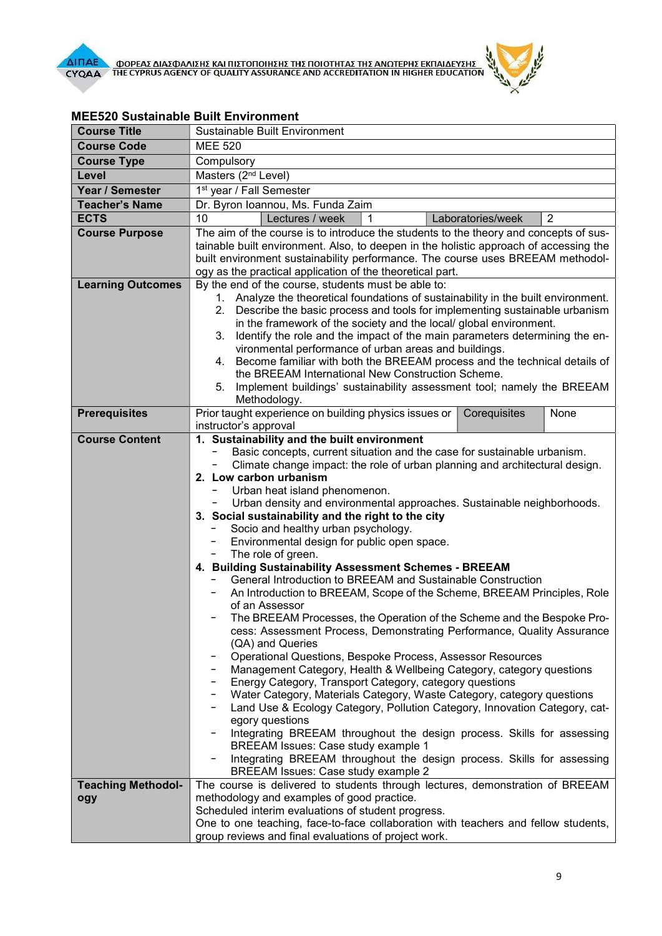

| <b>Course Title</b>       | Sustainable Built Environment                                                                                                                                       |
|---------------------------|---------------------------------------------------------------------------------------------------------------------------------------------------------------------|
| <b>Course Code</b>        | <b>MEE 520</b>                                                                                                                                                      |
| <b>Course Type</b>        | Compulsory                                                                                                                                                          |
| Level                     | Masters (2 <sup>nd</sup> Level)                                                                                                                                     |
| Year / Semester           | 1 <sup>st</sup> year / Fall Semester                                                                                                                                |
| <b>Teacher's Name</b>     | Dr. Byron Ioannou, Ms. Funda Zaim                                                                                                                                   |
| <b>ECTS</b>               | 10<br>Lectures / week<br>Laboratories/week<br>$\overline{2}$                                                                                                        |
| <b>Course Purpose</b>     | The aim of the course is to introduce the students to the theory and concepts of sus-                                                                               |
|                           | tainable built environment. Also, to deepen in the holistic approach of accessing the                                                                               |
|                           | built environment sustainability performance. The course uses BREEAM methodol-                                                                                      |
|                           | ogy as the practical application of the theoretical part.                                                                                                           |
| <b>Learning Outcomes</b>  | By the end of the course, students must be able to:                                                                                                                 |
|                           | 1. Analyze the theoretical foundations of sustainability in the built environment.<br>2. Describe the basic process and tools for implementing sustainable urbanism |
|                           | in the framework of the society and the local/ global environment.                                                                                                  |
|                           | Identify the role and the impact of the main parameters determining the en-<br>3.                                                                                   |
|                           | vironmental performance of urban areas and buildings.                                                                                                               |
|                           | Become familiar with both the BREEAM process and the technical details of<br>4.                                                                                     |
|                           | the BREEAM International New Construction Scheme.                                                                                                                   |
|                           | Implement buildings' sustainability assessment tool; namely the BREEAM<br>5.                                                                                        |
|                           | Methodology.                                                                                                                                                        |
| <b>Prerequisites</b>      | Prior taught experience on building physics issues or  <br>Corequisites<br>None<br>instructor's approval                                                            |
| <b>Course Content</b>     | 1. Sustainability and the built environment                                                                                                                         |
|                           | Basic concepts, current situation and the case for sustainable urbanism.                                                                                            |
|                           | Climate change impact: the role of urban planning and architectural design.                                                                                         |
|                           | 2. Low carbon urbanism                                                                                                                                              |
|                           | Urban heat island phenomenon.                                                                                                                                       |
|                           | Urban density and environmental approaches. Sustainable neighborhoods.                                                                                              |
|                           | 3. Social sustainability and the right to the city                                                                                                                  |
|                           | Socio and healthy urban psychology.                                                                                                                                 |
|                           | Environmental design for public open space.<br>The role of green.<br>$\overline{\phantom{a}}$                                                                       |
|                           | 4. Building Sustainability Assessment Schemes - BREEAM                                                                                                              |
|                           | General Introduction to BREEAM and Sustainable Construction                                                                                                         |
|                           | An Introduction to BREEAM, Scope of the Scheme, BREEAM Principles, Role<br>-                                                                                        |
|                           | of an Assessor                                                                                                                                                      |
|                           | The BREEAM Processes, the Operation of the Scheme and the Bespoke Pro-                                                                                              |
|                           | cess: Assessment Process, Demonstrating Performance, Quality Assurance                                                                                              |
|                           | (QA) and Queries<br>Operational Questions, Bespoke Process, Assessor Resources                                                                                      |
|                           | Management Category, Health & Wellbeing Category, category questions                                                                                                |
|                           | Energy Category, Transport Category, category questions                                                                                                             |
|                           | Water Category, Materials Category, Waste Category, category questions                                                                                              |
|                           | Land Use & Ecology Category, Pollution Category, Innovation Category, cat-                                                                                          |
|                           | egory questions                                                                                                                                                     |
|                           | Integrating BREEAM throughout the design process. Skills for assessing                                                                                              |
|                           | <b>BREEAM Issues: Case study example 1</b><br>Integrating BREEAM throughout the design process. Skills for assessing                                                |
|                           | BREEAM Issues: Case study example 2                                                                                                                                 |
| <b>Teaching Methodol-</b> | The course is delivered to students through lectures, demonstration of BREEAM                                                                                       |
| ogy                       | methodology and examples of good practice.                                                                                                                          |
|                           | Scheduled interim evaluations of student progress.                                                                                                                  |
|                           | One to one teaching, face-to-face collaboration with teachers and fellow students,                                                                                  |
|                           | group reviews and final evaluations of project work.                                                                                                                |

## MEE520 Sustainable Built Environment

**CALLES AND REAL**